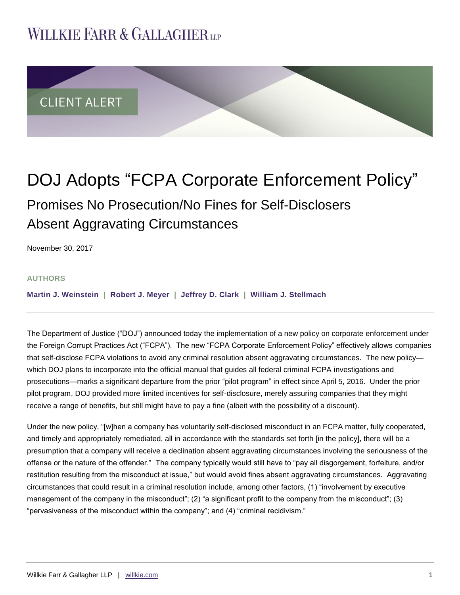# **WILLKIE FARR & GALLAGHERUP**



# DOJ Adopts "FCPA Corporate Enforcement Policy" Promises No Prosecution/No Fines for Self-Disclosers Absent Aggravating Circumstances

November 30, 2017

#### **AUTHORS**

**[Martin J. Weinstein](http://www.willkie.com/professionals/w/weinstein-martin-j) | [Robert J. Meyer](http://www.willkie.com/professionals/m/meyer-robert-j) | [Jeffrey D. Clark](http://www.willkie.com/professionals/c/clark-jeffrey-d) | [William J. Stellmach](http://www.willkie.com/professionals/s/stellmach-william)**

The Department of Justice ("DOJ") announced today the implementation of a new policy on corporate enforcement under the Foreign Corrupt Practices Act ("FCPA"). The new "FCPA Corporate Enforcement Policy" effectively allows companies that self-disclose FCPA violations to avoid any criminal resolution absent aggravating circumstances. The new policy which DOJ plans to incorporate into the official manual that guides all federal criminal FCPA investigations and prosecutions—marks a significant departure from the prior "pilot program" in effect since April 5, 2016. Under the prior pilot program, DOJ provided more limited incentives for self-disclosure, merely assuring companies that they might receive a range of benefits, but still might have to pay a fine (albeit with the possibility of a discount).

Under the new policy, "[w]hen a company has voluntarily self-disclosed misconduct in an FCPA matter, fully cooperated, and timely and appropriately remediated, all in accordance with the standards set forth [in the policy], there will be a presumption that a company will receive a declination absent aggravating circumstances involving the seriousness of the offense or the nature of the offender." The company typically would still have to "pay all disgorgement, forfeiture, and/or restitution resulting from the misconduct at issue," but would avoid fines absent aggravating circumstances. Aggravating circumstances that could result in a criminal resolution include, among other factors, (1) "involvement by executive management of the company in the misconduct"; (2) "a significant profit to the company from the misconduct"; (3) "pervasiveness of the misconduct within the company"; and (4) "criminal recidivism."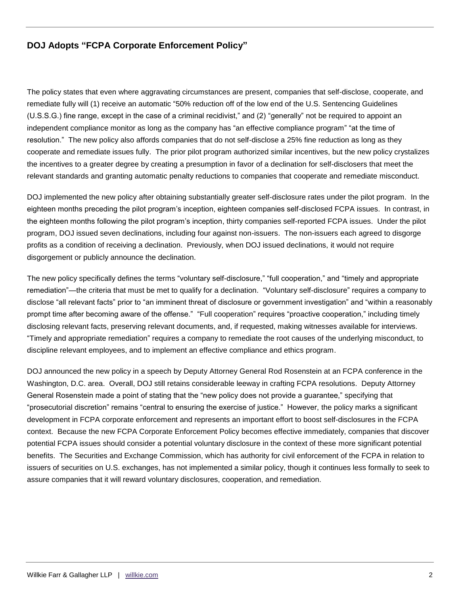### **DOJ Adopts "FCPA Corporate Enforcement Policy"**

The policy states that even where aggravating circumstances are present, companies that self-disclose, cooperate, and remediate fully will (1) receive an automatic "50% reduction off of the low end of the U.S. Sentencing Guidelines (U.S.S.G.) fine range, except in the case of a criminal recidivist," and (2) "generally" not be required to appoint an independent compliance monitor as long as the company has "an effective compliance program" "at the time of resolution." The new policy also affords companies that do not self-disclose a 25% fine reduction as long as they cooperate and remediate issues fully. The prior pilot program authorized similar incentives, but the new policy crystalizes the incentives to a greater degree by creating a presumption in favor of a declination for self-disclosers that meet the relevant standards and granting automatic penalty reductions to companies that cooperate and remediate misconduct.

DOJ implemented the new policy after obtaining substantially greater self-disclosure rates under the pilot program. In the eighteen months preceding the pilot program's inception, eighteen companies self-disclosed FCPA issues. In contrast, in the eighteen months following the pilot program's inception, thirty companies self-reported FCPA issues. Under the pilot program, DOJ issued seven declinations, including four against non-issuers. The non-issuers each agreed to disgorge profits as a condition of receiving a declination. Previously, when DOJ issued declinations, it would not require disgorgement or publicly announce the declination.

The new policy specifically defines the terms "voluntary self-disclosure," "full cooperation," and "timely and appropriate remediation"—the criteria that must be met to qualify for a declination. "Voluntary self-disclosure" requires a company to disclose "all relevant facts" prior to "an imminent threat of disclosure or government investigation" and "within a reasonably prompt time after becoming aware of the offense." "Full cooperation" requires "proactive cooperation," including timely disclosing relevant facts, preserving relevant documents, and, if requested, making witnesses available for interviews. "Timely and appropriate remediation" requires a company to remediate the root causes of the underlying misconduct, to discipline relevant employees, and to implement an effective compliance and ethics program.

DOJ announced the new policy in a speech by Deputy Attorney General Rod Rosenstein at an FCPA conference in the Washington, D.C. area. Overall, DOJ still retains considerable leeway in crafting FCPA resolutions. Deputy Attorney General Rosenstein made a point of stating that the "new policy does not provide a guarantee," specifying that "prosecutorial discretion" remains "central to ensuring the exercise of justice." However, the policy marks a significant development in FCPA corporate enforcement and represents an important effort to boost self-disclosures in the FCPA context. Because the new FCPA Corporate Enforcement Policy becomes effective immediately, companies that discover potential FCPA issues should consider a potential voluntary disclosure in the context of these more significant potential benefits. The Securities and Exchange Commission, which has authority for civil enforcement of the FCPA in relation to issuers of securities on U.S. exchanges, has not implemented a similar policy, though it continues less formally to seek to assure companies that it will reward voluntary disclosures, cooperation, and remediation.